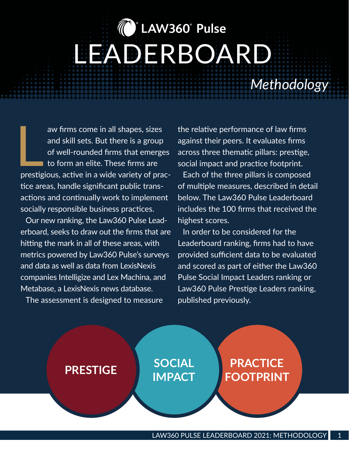# **® LAW360® Pulse** LEADERBOARD

*Methodology*

 $\begin{array}{c} \hline \end{array}$ aw firms come in all shapes, sizes and skill sets. But there is a group of well-rounded firms that emerges to form an elite. These firms are prestigious, active in a wide variety of practice areas, handle significant public transactions and continually work to implement socially responsible business practices.

Our new ranking, the Law360 Pulse Leaderboard, seeks to draw out the firms that are hitting the mark in all of these areas, with metrics powered by Law360 Pulse's surveys and data as well as data from LexisNexis companies Intelligize and Lex Machina, and Metabase, a LexisNexis news database.

The assessment is designed to measure

the relative performance of law firms against their peers. It evaluates firms across three thematic pillars: prestige, social impact and practice footprint.

Each of the three pillars is composed of multiple measures, described in detail below. The Law360 Pulse Leaderboard includes the 100 firms that received the highest scores.

In order to be considered for the Leaderboard ranking, firms had to have provided sufficient data to be evaluated and scored as part of either the Law360 Pulse Social Impact Leaders ranking or Law360 Pulse Prestige Leaders ranking, published previously.

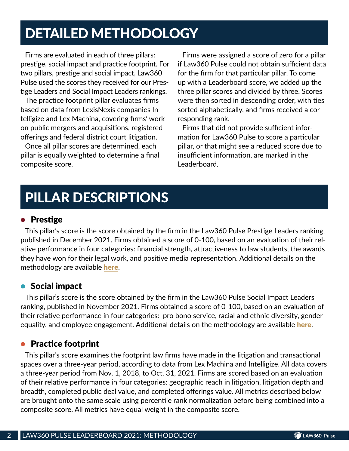## DETAILED METHODOLOGY

Firms are evaluated in each of three pillars: prestige, social impact and practice footprint. For two pillars, prestige and social impact, Law360 Pulse used the scores they received for our Prestige Leaders and Social Impact Leaders rankings.

The practice footprint pillar evaluates firms based on data from LexisNexis companies Intelligize and Lex Machina, covering firms' work on public mergers and acquisitions, registered offerings and federal district court litigation.

Once all pillar scores are determined, each pillar is equally weighted to determine a final composite score.

Firms were assigned a score of zero for a pillar if Law360 Pulse could not obtain sufficient data for the firm for that particular pillar. To come up with a Leaderboard score, we added up the three pillar scores and divided by three. Scores were then sorted in descending order, with ties sorted alphabetically, and firms received a corresponding rank.

Firms that did not provide sufficient information for Law360 Pulse to score a particular pillar, or that might see a reduced score due to insufficient information, are marked in the Leaderboard.

# PILLAR DESCRIPTIONS

### • Prestige

This pillar's score is the score obtained by the firm in the Law360 Pulse Prestige Leaders ranking, published in December 2021. Firms obtained a score of 0-100, based on an evaluation of their relative performance in four categories: financial strength, attractiveness to law students, the awards they have won for their legal work, and positive media representation. Additional details on the methodology are available **[here](https://assets.law360news.com/1443000/1443593/law360-pulse-prestige-leaders-methodology-2021.pdf)**.

### • Social impact

This pillar's score is the score obtained by the firm in the Law360 Pulse Social Impact Leaders ranking, published in November 2021. Firms obtained a score of 0-100, based on an evaluation of their relative performance in four categories: pro bono service, racial and ethnic diversity, gender equality, and employee engagement. Additional details on the methodology are available [here](https://assets.law360news.com/1433000/1433867/social%20impact%20leaders%202021%20methodology.pdf).

## **• Practice footprint**

This pillar's score examines the footprint law firms have made in the litigation and transactional spaces over a three-year period, according to data from Lex Machina and Intelligize. All data covers a three-year period from Nov. 1, 2018, to Oct. 31, 2021. Firms are scored based on an evaluation of their relative performance in four categories: geographic reach in litigation, litigation depth and breadth, completed public deal value, and completed offerings value. All metrics described below are brought onto the same scale using percentile rank normalization before being combined into a composite score. All metrics have equal weight in the composite score.